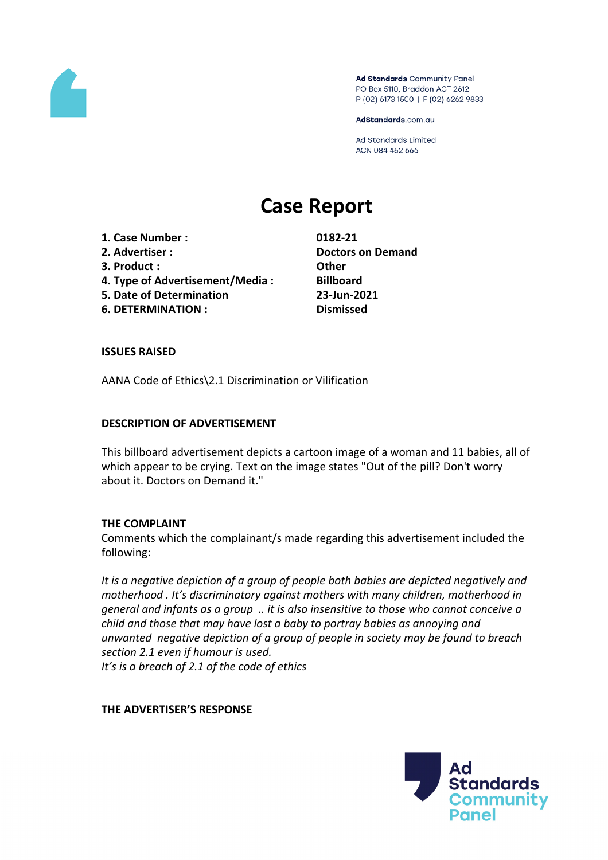

Ad Standards Community Panel PO Box 5110, Braddon ACT 2612 P (02) 6173 1500 | F (02) 6262 9833

AdStandards.com.au

**Ad Standards Limited** ACN 084 452 666

# **Case Report**

- **1. Case Number : 0182-21**
- 
- **3. Product : Other**
- **4. Type of Advertisement/Media : Billboard**
- **5. Date of Determination 23-Jun-2021**
- **6. DETERMINATION : Dismissed**

**2. Advertiser : Doctors on Demand**

## **ISSUES RAISED**

AANA Code of Ethics\2.1 Discrimination or Vilification

# **DESCRIPTION OF ADVERTISEMENT**

This billboard advertisement depicts a cartoon image of a woman and 11 babies, all of which appear to be crying. Text on the image states "Out of the pill? Don't worry about it. Doctors on Demand it."

## **THE COMPLAINT**

Comments which the complainant/s made regarding this advertisement included the following:

*It is a negative depiction of a group of people both babies are depicted negatively and motherhood . It's discriminatory against mothers with many children, motherhood in general and infants as a group .. it is also insensitive to those who cannot conceive a child and those that may have lost a baby to portray babies as annoying and unwanted negative depiction of a group of people in society may be found to breach section 2.1 even if humour is used. It's is a breach of 2.1 of the code of ethics*

## **THE ADVERTISER'S RESPONSE**

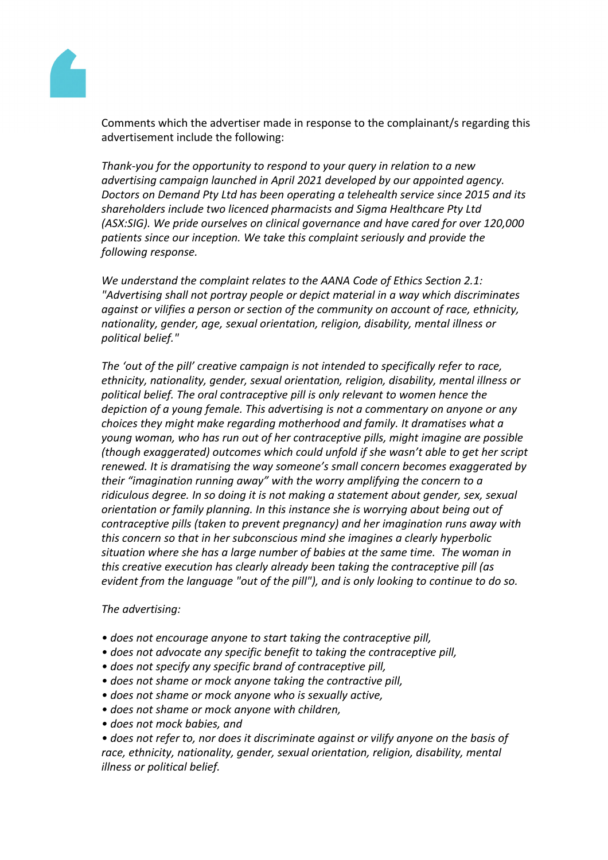

Comments which the advertiser made in response to the complainant/s regarding this advertisement include the following:

*Thank-you for the opportunity to respond to your query in relation to a new advertising campaign launched in April 2021 developed by our appointed agency. Doctors on Demand Pty Ltd has been operating a telehealth service since 2015 and its shareholders include two licenced pharmacists and Sigma Healthcare Pty Ltd (ASX:SIG). We pride ourselves on clinical governance and have cared for over 120,000 patients since our inception. We take this complaint seriously and provide the following response.*

*We understand the complaint relates to the AANA Code of Ethics Section 2.1: "Advertising shall not portray people or depict material in a way which discriminates against or vilifies a person or section of the community on account of race, ethnicity, nationality, gender, age, sexual orientation, religion, disability, mental illness or political belief."*

*The 'out of the pill' creative campaign is not intended to specifically refer to race, ethnicity, nationality, gender, sexual orientation, religion, disability, mental illness or political belief. The oral contraceptive pill is only relevant to women hence the depiction of a young female. This advertising is not a commentary on anyone or any choices they might make regarding motherhood and family. It dramatises what a young woman, who has run out of her contraceptive pills, might imagine are possible (though exaggerated) outcomes which could unfold if she wasn't able to get her script renewed. It is dramatising the way someone's small concern becomes exaggerated by their "imagination running away" with the worry amplifying the concern to a ridiculous degree. In so doing it is not making a statement about gender, sex, sexual orientation or family planning. In this instance she is worrying about being out of contraceptive pills (taken to prevent pregnancy) and her imagination runs away with this concern so that in her subconscious mind she imagines a clearly hyperbolic situation where she has a large number of babies at the same time. The woman in this creative execution has clearly already been taking the contraceptive pill (as evident from the language "out of the pill"), and is only looking to continue to do so.*

*The advertising:*

- *• does not encourage anyone to start taking the contraceptive pill,*
- *• does not advocate any specific benefit to taking the contraceptive pill,*
- *• does not specify any specific brand of contraceptive pill,*
- *• does not shame or mock anyone taking the contractive pill,*
- *• does not shame or mock anyone who is sexually active,*
- *• does not shame or mock anyone with children,*
- *• does not mock babies, and*

*• does not refer to, nor does it discriminate against or vilify anyone on the basis of race, ethnicity, nationality, gender, sexual orientation, religion, disability, mental illness or political belief.*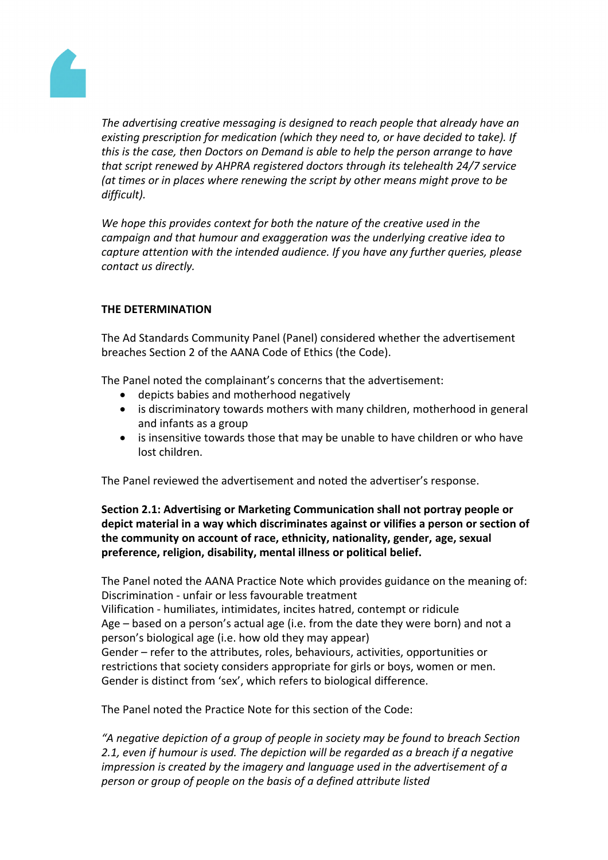

*The advertising creative messaging is designed to reach people that already have an existing prescription for medication (which they need to, or have decided to take). If this is the case, then Doctors on Demand is able to help the person arrange to have that script renewed by AHPRA registered doctors through its telehealth 24/7 service (at times or in places where renewing the script by other means might prove to be difficult).*

*We hope this provides context for both the nature of the creative used in the campaign and that humour and exaggeration was the underlying creative idea to capture attention with the intended audience. If you have any further queries, please contact us directly.*

# **THE DETERMINATION**

The Ad Standards Community Panel (Panel) considered whether the advertisement breaches Section 2 of the AANA Code of Ethics (the Code).

The Panel noted the complainant's concerns that the advertisement:

- depicts babies and motherhood negatively
- is discriminatory towards mothers with many children, motherhood in general and infants as a group
- is insensitive towards those that may be unable to have children or who have lost children.

The Panel reviewed the advertisement and noted the advertiser's response.

# **Section 2.1: Advertising or Marketing Communication shall not portray people or depict material in a way which discriminates against or vilifies a person or section of the community on account of race, ethnicity, nationality, gender, age, sexual preference, religion, disability, mental illness or political belief.**

The Panel noted the AANA Practice Note which provides guidance on the meaning of: Discrimination - unfair or less favourable treatment

Vilification - humiliates, intimidates, incites hatred, contempt or ridicule Age – based on a person's actual age (i.e. from the date they were born) and not a person's biological age (i.e. how old they may appear) Gender – refer to the attributes, roles, behaviours, activities, opportunities or restrictions that society considers appropriate for girls or boys, women or men. Gender is distinct from 'sex', which refers to biological difference.

The Panel noted the Practice Note for this section of the Code:

*"A negative depiction of a group of people in society may be found to breach Section 2.1, even if humour is used. The depiction will be regarded as a breach if a negative impression is created by the imagery and language used in the advertisement of a person or group of people on the basis of a defined attribute listed*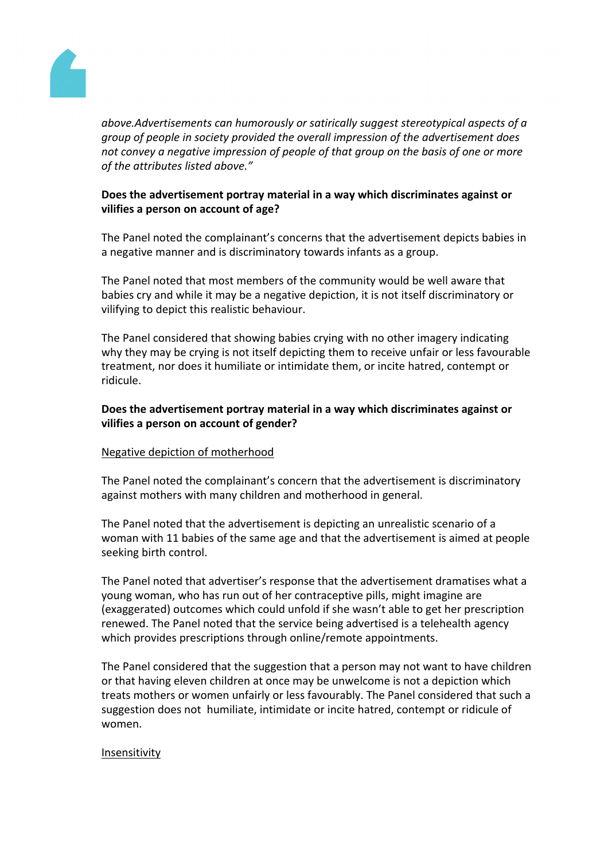

*above.Advertisements can humorously or satirically suggest stereotypical aspects of a group of people in society provided the overall impression of the advertisement does not convey a negative impression of people of that group on the basis of one or more of the attributes listed above."*

# **Does the advertisement portray material in a way which discriminates against or vilifies a person on account of age?**

The Panel noted the complainant's concerns that the advertisement depicts babies in a negative manner and is discriminatory towards infants as a group.

The Panel noted that most members of the community would be well aware that babies cry and while it may be a negative depiction, it is not itself discriminatory or vilifying to depict this realistic behaviour.

The Panel considered that showing babies crying with no other imagery indicating why they may be crying is not itself depicting them to receive unfair or less favourable treatment, nor does it humiliate or intimidate them, or incite hatred, contempt or ridicule.

# **Does the advertisement portray material in a way which discriminates against or vilifies a person on account of gender?**

## Negative depiction of motherhood

The Panel noted the complainant's concern that the advertisement is discriminatory against mothers with many children and motherhood in general.

The Panel noted that the advertisement is depicting an unrealistic scenario of a woman with 11 babies of the same age and that the advertisement is aimed at people seeking birth control.

The Panel noted that advertiser's response that the advertisement dramatises what a young woman, who has run out of her contraceptive pills, might imagine are (exaggerated) outcomes which could unfold if she wasn't able to get her prescription renewed. The Panel noted that the service being advertised is a telehealth agency which provides prescriptions through online/remote appointments.

The Panel considered that the suggestion that a person may not want to have children or that having eleven children at once may be unwelcome is not a depiction which treats mothers or women unfairly or less favourably. The Panel considered that such a suggestion does not humiliate, intimidate or incite hatred, contempt or ridicule of women.

#### Insensitivity